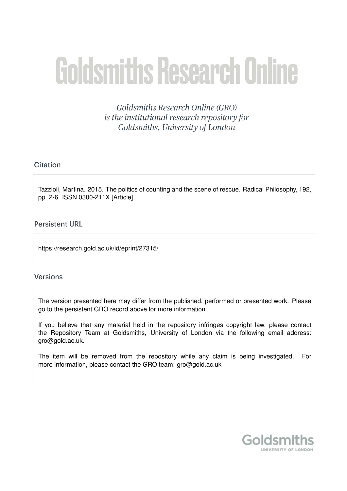# **Goldsmiths Research Online**

Goldsmiths Research Online (GRO) is the institutional research repository for Goldsmiths, University of London

## Citation

Tazzioli, Martina. 2015. The politics of counting and the scene of rescue. Radical Philosophy, 192, pp. 2-6. ISSN 0300-211X [Article]

## **Persistent URL**

https://research.gold.ac.uk/id/eprint/27315/

## **Versions**

The version presented here may differ from the published, performed or presented work. Please go to the persistent GRO record above for more information.

If you believe that any material held in the repository infringes copyright law, please contact the Repository Team at Goldsmiths, University of London via the following email address: gro@gold.ac.uk.

The item will be removed from the repository while any claim is being investigated. For more information, please contact the GRO team: gro@gold.ac.uk

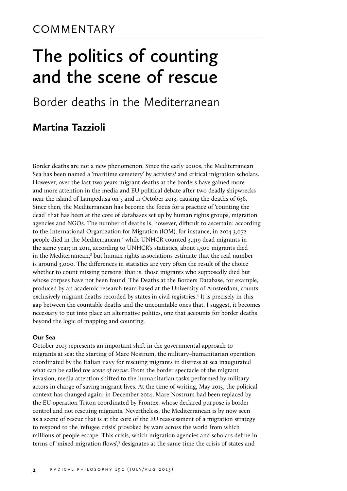## **The politics of counting and the scene of rescue**

## Border deaths in the Mediterranean

## **Martina Tazzioli**

Border deaths are not a new phenomenon. Since the early 2000s, the Mediterranean Sea has been named a 'maritime cemetery' by activists $1$  and critical migration scholars. However, over the last two years migrant deaths at the borders have gained more and more attention in the media and EU political debate after two deadly shipwrecks near the island of Lampedusa on 3 and 11 October 2013, causing the deaths of 636. Since then, the Mediterranean has become the focus for a practice of 'counting the dead' that has been at the core of databases set up by human rights groups, migration agencies and NGOs. The number of deaths is, however, difficult to ascertain: according to the International Organization for Migration (IOM), for instance, in 2014 3,072 people died in the Mediterranean,<sup>2</sup> while UNHCR counted 3,419 dead migrants in the same year; in 2011, according to UNHCR's statistics, about 1,500 migrants died in the Mediterranean, $3$  but human rights associations estimate that the real number is around 3,000. The differences in statistics are very often the result of the choice whether to count missing persons; that is, those migrants who supposedly died but whose corpses have not been found. The Deaths at the Borders Database, for example, produced by an academic research team based at the University of Amsterdam, counts exclusively migrant deaths recorded by states in civil registries.<sup>4</sup> It is precisely in this gap between the countable deaths and the uncountable ones that, I suggest, it becomes necessary to put into place an alternative politics, one that accounts for border deaths beyond the logic of mapping and counting.

#### **Our Sea**

October 2013 represents an important shift in the governmental approach to migrants at sea: the starting of Mare Nostrum, the military–humanitarian operation coordinated by the Italian navy for rescuing migrants in distress at sea inaugurated what can be called *the scene of rescue*. From the border spectacle of the migrant invasion, media attention shifted to the humanitarian tasks performed by military actors in charge of saving migrant lives. At the time of writing, May 2015, the political context has changed again: in December 2014, Mare Nostrum had been replaced by the EU operation Triton coordinated by Frontex, whose declared purpose is border control and not rescuing migrants. Nevertheless, the Mediterranean is by now seen as a scene of rescue that is at the core of the EU reassessment of a migration strategy to respond to the 'refugee crisis' provoked by wars across the world from which millions of people escape. This crisis, which migration agencies and scholars define in terms of 'mixed migration flows',<sup>5</sup> designates at the same time the crisis of states and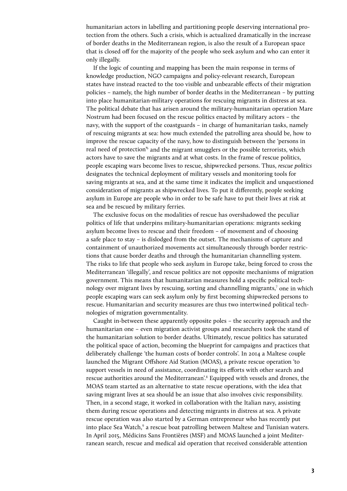humanitarian actors in labelling and partitioning people deserving international protection from the others. Such a crisis, which is actualized dramatically in the increase of border deaths in the Mediterranean region, is also the result of a European space that is closed off for the majority of the people who seek asylum and who can enter it only illegally.

If the logic of counting and mapping has been the main response in terms of knowledge production, NGO campaigns and policy-relevant research, European states have instead reacted to the too visible and unbearable effects of their migration policies – namely, the high number of border deaths in the Mediterranean – by putting into place humanitarian-military operations for rescuing migrants in distress at sea. The political debate that has arisen around the military-humanitarian operation Mare Nostrum had been focused on the rescue politics enacted by military actors – the navy, with the support of the coastguards – in charge of humanitarian tasks, namely of rescuing migrants at sea: how much extended the patrolling area should be, how to improve the rescue capacity of the navy, how to distinguish between the 'persons in real need of protection<sup>%</sup> and the migrant smugglers or the possible terrorists, which actors have to save the migrants and at what costs. In the frame of rescue politics, people escaping wars become lives to rescue, shipwrecked persons. Thus, *rescue politics* designates the technical deployment of military vessels and monitoring tools for saving migrants at sea, and at the same time it indicates the implicit and unquestioned consideration of migrants as shipwrecked lives. To put it differently, people seeking asylum in Europe are people who in order to be safe have to put their lives at risk at sea and be rescued by military ferries.

The exclusive focus on the modalities of rescue has overshadowed the peculiar politics of life that underpins military-humanitarian operations: migrants seeking asylum become lives to rescue and their freedom – of movement and of choosing a safe place to stay – is dislodged from the outset. The mechanisms of capture and containment of unauthorized movements act simultaneously through border restrictions that cause border deaths and through the humanitarian channelling system. The risks to life that people who seek asylum in Europe take, being forced to cross the Mediterranean 'illegally', and rescue politics are not opposite mechanisms of migration government. This means that humanitarian measures hold a specific political technology over migrant lives by rescuing, sorting and channelling migrants,<sup>7</sup> one in which people escaping wars can seek asylum only by first becoming shipwrecked persons to rescue. Humanitarian and security measures are thus two intertwined political technologies of migration governmentality.

Caught in-between these apparently opposite poles – the security approach and the humanitarian one – even migration activist groups and researchers took the stand of the humanitarian solution to border deaths. Ultimately, rescue politics has saturated the political space of action, becoming the blueprint for campaigns and practices that deliberately challenge 'the human costs of border controls'. In 2014 a Maltese couple launched the Migrant Offshore Aid Station (MOAS), a private rescue operation 'to support vessels in need of assistance, coordinating its efforts with other search and rescue authorities around the Mediterranean'.<sup>8</sup> Equipped with vessels and drones, the MOAS team started as an alternative to state rescue operations, with the idea that saving migrant lives at sea should be an issue that also involves civic responsibility. Then, in a second stage, it worked in collaboration with the Italian navy, assisting them during rescue operations and detecting migrants in distress at sea. A private rescue operation was also started by a German entrepreneur who has recently put into place Sea Watch,<sup>9</sup> a rescue boat patrolling between Maltese and Tunisian waters. In April 2015, Médicins Sans Frontières (MSF) and MOAS launched a joint Mediterranean search, rescue and medical aid operation that received considerable attention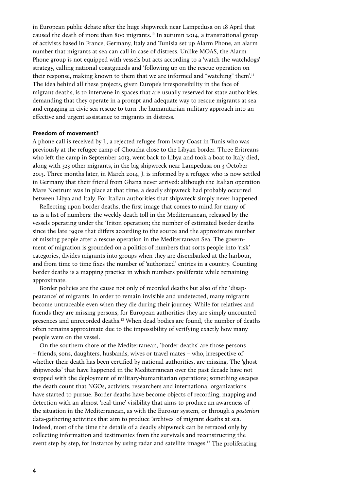in European public debate after the huge shipwreck near Lampedusa on 18 April that caused the death of more than 800 migrants.<sup>10</sup> In autumn 2014, a transnational group of activists based in France, Germany, Italy and Tunisia set up Alarm Phone, an alarm number that migrants at sea can call in case of distress. Unlike MOAS, the Alarm Phone group is not equipped with vessels but acts according to a 'watch the watchdogs' strategy, calling national coastguards and 'following up on the rescue operation on their response, making known to them that we are informed and "watching" them'.<sup>11</sup> The idea behind all these projects, given Europe's irresponsibility in the face of migrant deaths, is to intervene in spaces that are usually reserved for state authorities, demanding that they operate in a prompt and adequate way to rescue migrants at sea and engaging in civic sea rescue to turn the humanitarian-military approach into an effective and urgent assistance to migrants in distress.

### **Freedom of movement?**

A phone call is received by J., a rejected refugee from Ivory Coast in Tunis who was previously at the refugee camp of Choucha close to the Libyan border. Three Eritreans who left the camp in September 2013, went back to Libya and took a boat to Italy died, along with 323 other migrants, in the big shipwreck near Lampedusa on 3 October 2013. Three months later, in March 2014, J. is informed by a refugee who is now settled in Germany that their friend from Ghana never arrived: although the Italian operation Mare Nostrum was in place at that time, a deadly shipwreck had probably occurred between Libya and Italy. For Italian authorities that shipwreck simply never happened.

Reflecting upon border deaths, the first image that comes to mind for many of us is a list of numbers: the weekly death toll in the Mediterranean, released by the vessels operating under the Triton operation; the number of estimated border deaths since the late 1990s that differs according to the source and the approximate number of missing people after a rescue operation in the Mediterranean Sea. The government of migration is grounded on a politics of numbers that sorts people into 'risk' categories, divides migrants into groups when they are disembarked at the harbour, and from time to time fixes the number of 'authorized' entries in a country. Counting border deaths is a mapping practice in which numbers proliferate while remaining approximate.

Border policies are the cause not only of recorded deaths but also of the 'disappearance' of migrants. In order to remain invisible and undetected, many migrants become untraceable even when they die during their journey. While for relatives and friends they are missing persons, for European authorities they are simply uncounted presences and unrecorded deaths.<sup>12</sup> When dead bodies are found, the number of deaths often remains approximate due to the impossibility of verifying exactly how many people were on the vessel.

On the southern shore of the Mediterranean, 'border deaths' are those persons – friends, sons, daughters, husbands, wives or travel mates – who, irrespective of whether their death has been certified by national authorities, are missing. The 'ghost shipwrecks' that have happened in the Mediterranean over the past decade have not stopped with the deployment of military-humanitarian operations; something escapes the death count that NGOs, activists, researchers and international organizations have started to pursue. Border deaths have become objects of recording, mapping and detection with an almost 'real-time' visibility that aims to produce an awareness of the situation in the Mediterranean, as with the Eurosur system, or through *a posteriori*  data-gathering activities that aim to produce 'archives' of migrant deaths at sea. Indeed, most of the time the details of a deadly shipwreck can be retraced only by collecting information and testimonies from the survivals and reconstructing the event step by step, for instance by using radar and satellite images.13 The proliferating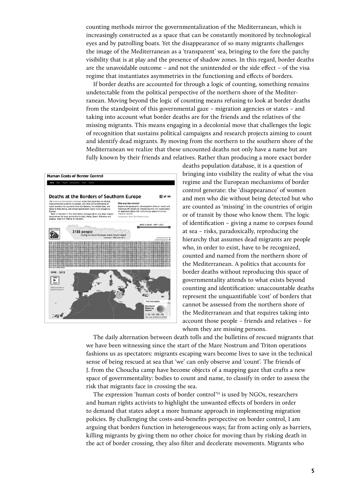counting methods mirror the governmentalization of the Mediterranean, which is increasingly constructed as a space that can be constantly monitored by technological eyes and by patrolling boats. Yet the disappearance of so many migrants challenges the image of the Mediterranean as a 'transparent' sea, bringing to the fore the patchy visibility that is at play and the presence of shadow zones. In this regard, border deaths are the unavoidable outcome – and not the unintended or the side effect – of the visa regime that instantiates asymmetries in the functioning and effects of borders.

If border deaths are accounted for through a logic of counting, something remains undetectable from the political perspective of the northern shore of the Mediterranean. Moving beyond the logic of counting means refusing to look at border deaths from the standpoint of this governmental gaze – migration agencies or states – and taking into account what border deaths are for the friends and the relatives of the missing migrants. This means engaging in a decolonial move that challenges the logic of recognition that sustains political campaigns and research projects aiming to count and identify dead migrants. By moving from the northern to the southern shore of the Mediterranean we realize that these uncounted deaths not only have a name but are fully known by their friends and relatives. Rather than producing a more exact border



deaths population database, it is a question of bringing into visibility the reality of what the visa regime and the European mechanisms of border control generate: the 'disappearance' of women and men who die without being detected but who are counted as 'missing' in the countries of origin or of transit by those who know them. The logic of identification – giving a name to corpses found at sea – risks, paradoxically, reproducing the hierarchy that assumes dead migrants are people who, in order to exist, have to be recognized, counted and named from the northern shore of the Mediterranean. A politics that accounts for border deaths without reproducing this space of governmentality attends to what exists beyond counting and identification: unaccountable deaths represent the unquantifiable 'cost' of borders that cannot be assessed from the northern shore of the Mediterranean and that requires taking into account those people – friends and relatives – for whom they are missing persons.

The daily alternation between death tolls and the bulletins of rescued migrants that we have been witnessing since the start of the Mare Nostrum and Triton operations fashions us as spectators: migrants escaping wars become lives to save in the technical sense of being rescued at sea that 'we' can only observe and 'count'. The friends of J. from the Choucha camp have become objects of a mapping gaze that crafts a new space of governmentality: bodies to count and name, to classify in order to assess the risk that migrants face in crossing the sea.

The expression 'human costs of border control<sup>'14</sup> is used by NGOs, researchers and human rights activists to highlight the unwanted effects of borders in order to demand that states adopt a more humane approach in implementing migration policies. By challenging the costs-and-benefits perspective on border control, I am arguing that borders function in heterogeneous ways; far from acting only as barriers, killing migrants by giving them no other choice for moving than by risking death in the act of border crossing, they also filter and decelerate movements. Migrants who